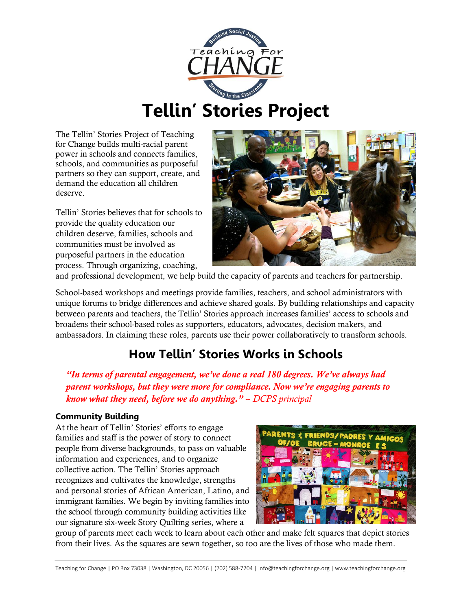

# **Tellin' Stories Project**

The Tellin' Stories Project of Teaching for Change builds multi-racial parent power in schools and connects families, schools, and communities as purposeful partners so they can support, create, and demand the education all children deserve.

Tellin' Stories believes that for schools to provide the quality education our children deserve, families, schools and communities must be involved as purposeful partners in the education process. Through organizing, coaching,



and professional development, we help build the capacity of parents and teachers for partnership.

School-based workshops and meetings provide families, teachers, and school administrators with unique forums to bridge differences and achieve shared goals. By building relationships and capacity between parents and teachers, the Tellin' Stories approach increases families' access to schools and broadens their school-based roles as supporters, educators, advocates, decision makers, and ambassadors. In claiming these roles, parents use their power collaboratively to transform schools.

# **How Tellin' Stories Works in Schools**

*"In terms of parental engagement, we've done a real 180 degrees. We've always had parent workshops, but they were more for compliance. Now we're engaging parents to know what they need, before we do anything." -- DCPS principal*

#### **Community Building**

At the heart of Tellin' Stories' efforts to engage families and staff is the power of story to connect people from diverse backgrounds, to pass on valuable information and experiences, and to organize collective action. The Tellin' Stories approach recognizes and cultivates the knowledge, strengths and personal stories of African American, Latino, and immigrant families. We begin by inviting families into the school through community building activities like our signature six-week Story Quilting series, where a



group of parents meet each week to learn about each other and make felt squares that depict stories from their lives. As the squares are sewn together, so too are the lives of those who made them.